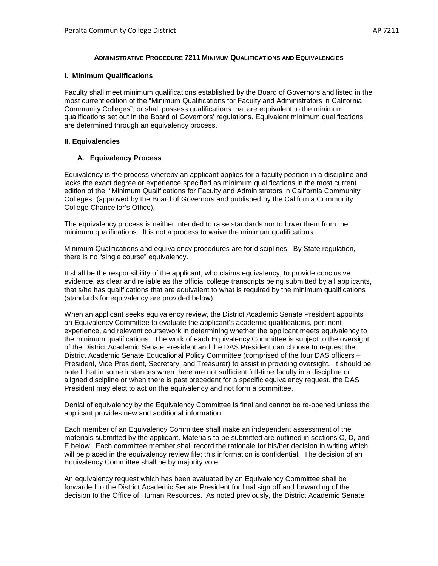#### **ADMINISTRATIVE PROCEDURE 7211 MINIMUM QUALIFICATIONS AND EQUIVALENCIES**

#### **I. Minimum Qualifications**

Faculty shall meet minimum qualifications established by the Board of Governors and listed in the most current edition of the "Minimum Qualifications for Faculty and Administrators in California Community Colleges", or shall possess qualifications that are equivalent to the minimum qualifications set out in the Board of Governors' regulations. Equivalent minimum qualifications are determined through an equivalency process.

#### **II. Equivalencies**

### **A. Equivalency Process**

Equivalency is the process whereby an applicant applies for a faculty position in a discipline and lacks the exact degree or experience specified as minimum qualifications in the most current edition of the "Minimum Qualifications for Faculty and Administrators in California Community Colleges" (approved by the Board of Governors and published by the California Community College Chancellor's Office).

The equivalency process is neither intended to raise standards nor to lower them from the minimum qualifications. It is not a process to waive the minimum qualifications.

Minimum Qualifications and equivalency procedures are for disciplines. By State regulation, there is no "single course" equivalency.

It shall be the responsibility of the applicant, who claims equivalency, to provide conclusive evidence, as clear and reliable as the official college transcripts being submitted by all applicants, that s/he has qualifications that are equivalent to what is required by the minimum qualifications (standards for equivalency are provided below).

When an applicant seeks equivalency review, the District Academic Senate President appoints an Equivalency Committee to evaluate the applicant's academic qualifications, pertinent experience, and relevant coursework in determining whether the applicant meets equivalency to the minimum qualifications. The work of each Equivalency Committee is subject to the oversight of the District Academic Senate President and the DAS President can choose to request the District Academic Senate Educational Policy Committee (comprised of the four DAS officers – President, Vice President, Secretary, and Treasurer) to assist in providing oversight. It should be noted that in some instances when there are not sufficient full-time faculty in a discipline or aligned discipline or when there is past precedent for a specific equivalency request, the DAS President may elect to act on the equivalency and not form a committee.

Denial of equivalency by the Equivalency Committee is final and cannot be re-opened unless the applicant provides new and additional information.

Each member of an Equivalency Committee shall make an independent assessment of the materials submitted by the applicant. Materials to be submitted are outlined in sections C, D, and E below. Each committee member shall record the rationale for his/her decision in writing which will be placed in the equivalency review file; this information is confidential. The decision of an Equivalency Committee shall be by majority vote.

An equivalency request which has been evaluated by an Equivalency Committee shall be forwarded to the District Academic Senate President for final sign off and forwarding of the decision to the Office of Human Resources. As noted previously, the District Academic Senate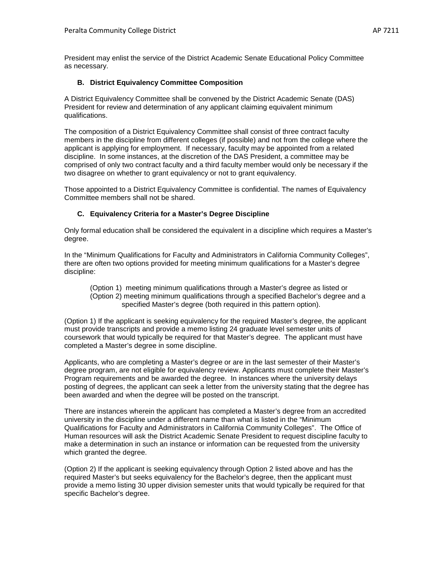President may enlist the service of the District Academic Senate Educational Policy Committee as necessary.

### **B. District Equivalency Committee Composition**

A District Equivalency Committee shall be convened by the District Academic Senate (DAS) President for review and determination of any applicant claiming equivalent minimum qualifications.

The composition of a District Equivalency Committee shall consist of three contract faculty members in the discipline from different colleges (if possible) and not from the college where the applicant is applying for employment. If necessary, faculty may be appointed from a related discipline. In some instances, at the discretion of the DAS President, a committee may be comprised of only two contract faculty and a third faculty member would only be necessary if the two disagree on whether to grant equivalency or not to grant equivalency.

Those appointed to a District Equivalency Committee is confidential. The names of Equivalency Committee members shall not be shared.

### **C. Equivalency Criteria for a Master's Degree Discipline**

Only formal education shall be considered the equivalent in a discipline which requires a Master's degree.

In the "Minimum Qualifications for Faculty and Administrators in California Community Colleges", there are often two options provided for meeting minimum qualifications for a Master's degree discipline:

(Option 1) meeting minimum qualifications through a Master's degree as listed or (Option 2) meeting minimum qualifications through a specified Bachelor's degree and a specified Master's degree (both required in this pattern option).

(Option 1) If the applicant is seeking equivalency for the required Master's degree, the applicant must provide transcripts and provide a memo listing 24 graduate level semester units of coursework that would typically be required for that Master's degree. The applicant must have completed a Master's degree in some discipline.

Applicants, who are completing a Master's degree or are in the last semester of their Master's degree program, are not eligible for equivalency review. Applicants must complete their Master's Program requirements and be awarded the degree. In instances where the university delays posting of degrees, the applicant can seek a letter from the university stating that the degree has been awarded and when the degree will be posted on the transcript.

There are instances wherein the applicant has completed a Master's degree from an accredited university in the discipline under a different name than what is listed in the "Minimum Qualifications for Faculty and Administrators in California Community Colleges". The Office of Human resources will ask the District Academic Senate President to request discipline faculty to make a determination in such an instance or information can be requested from the university which granted the degree.

(Option 2) If the applicant is seeking equivalency through Option 2 listed above and has the required Master's but seeks equivalency for the Bachelor's degree, then the applicant must provide a memo listing 30 upper division semester units that would typically be required for that specific Bachelor's degree.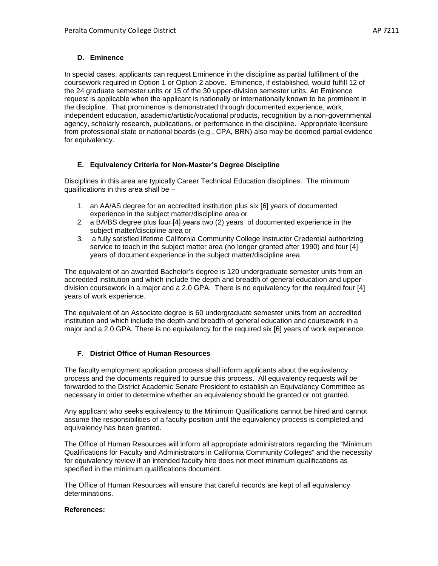# **D. Eminence**

In special cases, applicants can request Eminence in the discipline as partial fulfillment of the coursework required in Option 1 or Option 2 above. Eminence, if established, would fulfill 12 of the 24 graduate semester units or 15 of the 30 upper-division semester units. An Eminence request is applicable when the applicant is nationally or internationally known to be prominent in the discipline. That prominence is demonstrated through documented experience, work, independent education, academic/artistic/vocational products, recognition by a non-governmental agency, scholarly research, publications, or performance in the discipline. Appropriate licensure from professional state or national boards (e.g., CPA, BRN) also may be deemed partial evidence for equivalency.

# **E. Equivalency Criteria for Non-Master's Degree Discipline**

Disciplines in this area are typically Career Technical Education disciplines. The minimum qualifications in this area shall be –

- 1. an AA/AS degree for an accredited institution plus six [6] years of documented experience in the subject matter/discipline area or
- 2. a BA/BS degree plus four [4] years two (2) years of documented experience in the subject matter/discipline area or
- 3. a fully satisfied lifetime California Community College Instructor Credential authorizing service to teach in the subject matter area (no longer granted after 1990) and four [4] years of document experience in the subject matter/discipline area.

The equivalent of an awarded Bachelor's degree is 120 undergraduate semester units from an accredited institution and which include the depth and breadth of general education and upperdivision coursework in a major and a 2.0 GPA. There is no equivalency for the required four [4] years of work experience.

The equivalent of an Associate degree is 60 undergraduate semester units from an accredited institution and which include the depth and breadth of general education and coursework in a major and a 2.0 GPA. There is no equivalency for the required six [6] years of work experience.

# **F. District Office of Human Resources**

The faculty employment application process shall inform applicants about the equivalency process and the documents required to pursue this process. All equivalency requests will be forwarded to the District Academic Senate President to establish an Equivalency Committee as necessary in order to determine whether an equivalency should be granted or not granted.

Any applicant who seeks equivalency to the Minimum Qualifications cannot be hired and cannot assume the responsibilities of a faculty position until the equivalency process is completed and equivalency has been granted.

The Office of Human Resources will inform all appropriate administrators regarding the "Minimum Qualifications for Faculty and Administrators in California Community Colleges" and the necessity for equivalency review if an intended faculty hire does not meet minimum qualifications as specified in the minimum qualifications document.

The Office of Human Resources will ensure that careful records are kept of all equivalency determinations.

## **References:**